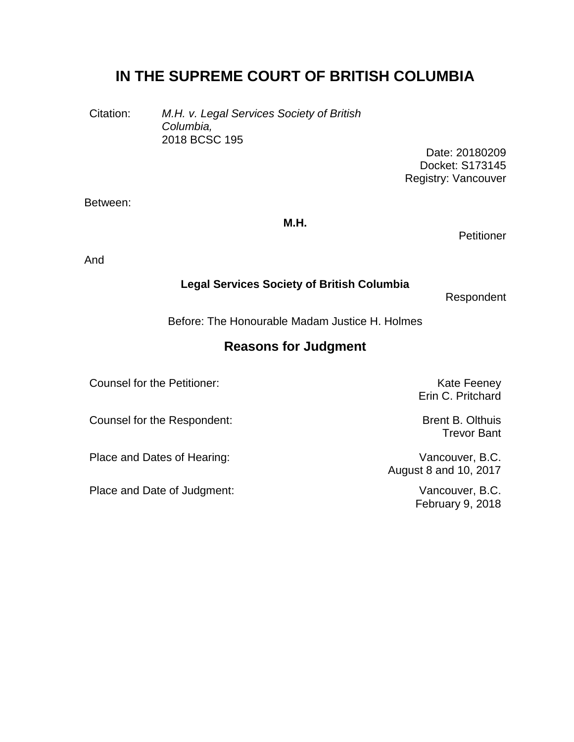# **IN THE SUPREME COURT OF BRITISH COLUMBIA**

Citation: *M.H. v. Legal Services Society of British Columbia,* 2018 BCSC 195

> Date: 20180209 Docket: S173145 Registry: Vancouver

Between:

**M.H.**

**Petitioner** 

And

#### **Legal Services Society of British Columbia**

Respondent

Before: The Honourable Madam Justice H. Holmes

## **Reasons for Judgment**

Counsel for the Petitioner: The Counsel for the Petitioner: The Counsel of the Reeney

Counsel for the Respondent: General Accounsel for the Respondent: Brent B. Olthuis

Place and Dates of Hearing: Vancouver, B.C.

Place and Date of Judgment: Vancouver, B.C.

Erin C. Pritchard

Trevor Bant

August 8 and 10, 2017

February 9, 2018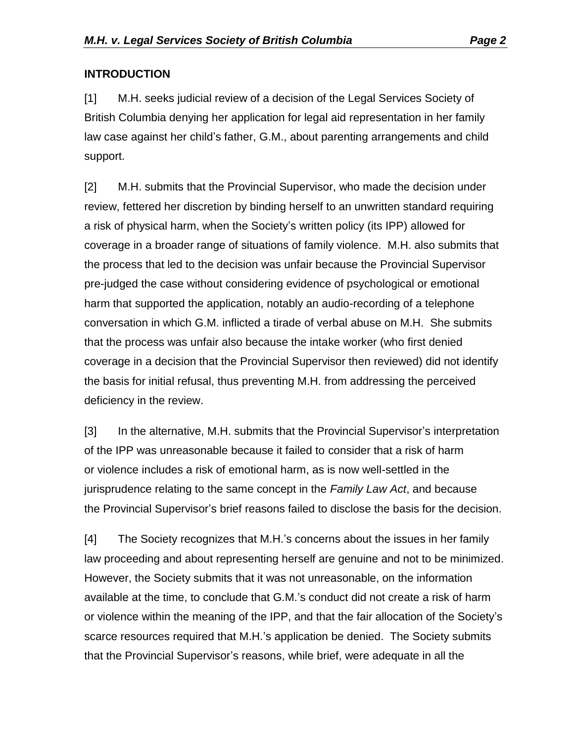## **INTRODUCTION**

[1] M.H. seeks judicial review of a decision of the Legal Services Society of British Columbia denying her application for legal aid representation in her family law case against her child's father, G.M., about parenting arrangements and child support.

[2] M.H. submits that the Provincial Supervisor, who made the decision under review, fettered her discretion by binding herself to an unwritten standard requiring a risk of physical harm, when the Society's written policy (its IPP) allowed for coverage in a broader range of situations of family violence. M.H. also submits that the process that led to the decision was unfair because the Provincial Supervisor pre-judged the case without considering evidence of psychological or emotional harm that supported the application, notably an audio-recording of a telephone conversation in which G.M. inflicted a tirade of verbal abuse on M.H. She submits that the process was unfair also because the intake worker (who first denied coverage in a decision that the Provincial Supervisor then reviewed) did not identify the basis for initial refusal, thus preventing M.H. from addressing the perceived deficiency in the review.

[3] In the alternative, M.H. submits that the Provincial Supervisor's interpretation of the IPP was unreasonable because it failed to consider that a risk of harm or violence includes a risk of emotional harm, as is now well-settled in the jurisprudence relating to the same concept in the *Family Law Act*, and because the Provincial Supervisor's brief reasons failed to disclose the basis for the decision.

[4] The Society recognizes that M.H.'s concerns about the issues in her family law proceeding and about representing herself are genuine and not to be minimized. However, the Society submits that it was not unreasonable, on the information available at the time, to conclude that G.M.'s conduct did not create a risk of harm or violence within the meaning of the IPP, and that the fair allocation of the Society's scarce resources required that M.H.'s application be denied. The Society submits that the Provincial Supervisor's reasons, while brief, were adequate in all the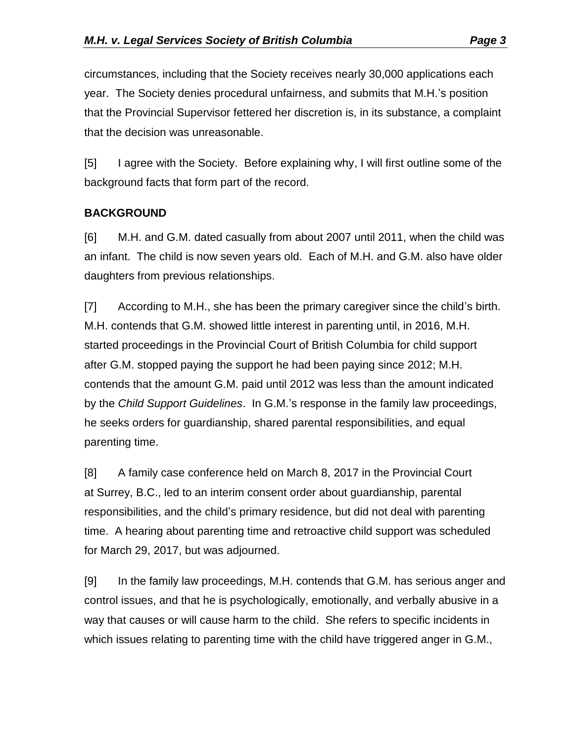circumstances, including that the Society receives nearly 30,000 applications each year. The Society denies procedural unfairness, and submits that M.H.'s position that the Provincial Supervisor fettered her discretion is, in its substance, a complaint that the decision was unreasonable.

[5] I agree with the Society. Before explaining why, I will first outline some of the background facts that form part of the record.

## **BACKGROUND**

[6] M.H. and G.M. dated casually from about 2007 until 2011, when the child was an infant. The child is now seven years old. Each of M.H. and G.M. also have older daughters from previous relationships.

[7] According to M.H., she has been the primary caregiver since the child's birth. M.H. contends that G.M. showed little interest in parenting until, in 2016, M.H. started proceedings in the Provincial Court of British Columbia for child support after G.M. stopped paying the support he had been paying since 2012; M.H. contends that the amount G.M. paid until 2012 was less than the amount indicated by the *Child Support Guidelines*. In G.M.'s response in the family law proceedings, he seeks orders for guardianship, shared parental responsibilities, and equal parenting time.

[8] A family case conference held on March 8, 2017 in the Provincial Court at Surrey, B.C., led to an interim consent order about guardianship, parental responsibilities, and the child's primary residence, but did not deal with parenting time. A hearing about parenting time and retroactive child support was scheduled for March 29, 2017, but was adjourned.

[9] In the family law proceedings, M.H. contends that G.M. has serious anger and control issues, and that he is psychologically, emotionally, and verbally abusive in a way that causes or will cause harm to the child. She refers to specific incidents in which issues relating to parenting time with the child have triggered anger in G.M.,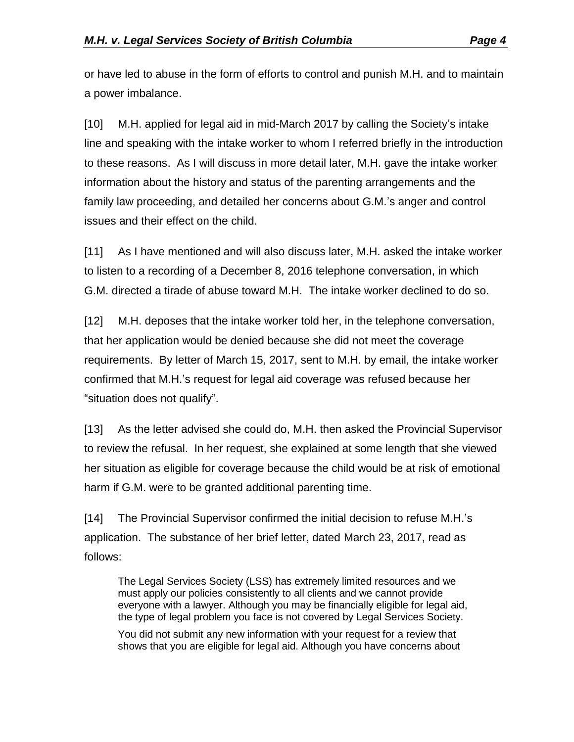or have led to abuse in the form of efforts to control and punish M.H. and to maintain a power imbalance.

[10] M.H. applied for legal aid in mid-March 2017 by calling the Society's intake line and speaking with the intake worker to whom I referred briefly in the introduction to these reasons. As I will discuss in more detail later, M.H. gave the intake worker information about the history and status of the parenting arrangements and the family law proceeding, and detailed her concerns about G.M.'s anger and control issues and their effect on the child.

[11] As I have mentioned and will also discuss later, M.H. asked the intake worker to listen to a recording of a December 8, 2016 telephone conversation, in which G.M. directed a tirade of abuse toward M.H. The intake worker declined to do so.

[12] M.H. deposes that the intake worker told her, in the telephone conversation, that her application would be denied because she did not meet the coverage requirements. By letter of March 15, 2017, sent to M.H. by email, the intake worker confirmed that M.H.'s request for legal aid coverage was refused because her "situation does not qualify".

[13] As the letter advised she could do, M.H. then asked the Provincial Supervisor to review the refusal. In her request, she explained at some length that she viewed her situation as eligible for coverage because the child would be at risk of emotional harm if G.M. were to be granted additional parenting time.

[14] The Provincial Supervisor confirmed the initial decision to refuse M.H.'s application. The substance of her brief letter, dated March 23, 2017, read as follows:

The Legal Services Society (LSS) has extremely limited resources and we must apply our policies consistently to all clients and we cannot provide everyone with a lawyer. Although you may be financially eligible for legal aid, the type of legal problem you face is not covered by Legal Services Society.

You did not submit any new information with your request for a review that shows that you are eligible for legal aid. Although you have concerns about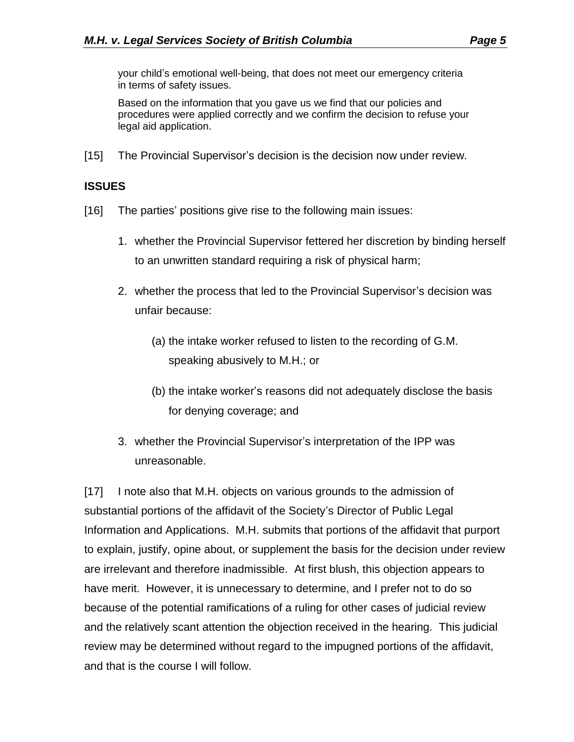your child's emotional well-being, that does not meet our emergency criteria in terms of safety issues.

Based on the information that you gave us we find that our policies and procedures were applied correctly and we confirm the decision to refuse your legal aid application.

[15] The Provincial Supervisor's decision is the decision now under review.

#### **ISSUES**

- [16] The parties' positions give rise to the following main issues:
	- 1. whether the Provincial Supervisor fettered her discretion by binding herself to an unwritten standard requiring a risk of physical harm;
	- 2. whether the process that led to the Provincial Supervisor's decision was unfair because:
		- (a) the intake worker refused to listen to the recording of G.M. speaking abusively to M.H.; or
		- (b) the intake worker's reasons did not adequately disclose the basis for denying coverage; and
	- 3. whether the Provincial Supervisor's interpretation of the IPP was unreasonable.

[17] I note also that M.H. objects on various grounds to the admission of substantial portions of the affidavit of the Society's Director of Public Legal Information and Applications. M.H. submits that portions of the affidavit that purport to explain, justify, opine about, or supplement the basis for the decision under review are irrelevant and therefore inadmissible. At first blush, this objection appears to have merit. However, it is unnecessary to determine, and I prefer not to do so because of the potential ramifications of a ruling for other cases of judicial review and the relatively scant attention the objection received in the hearing. This judicial review may be determined without regard to the impugned portions of the affidavit, and that is the course I will follow.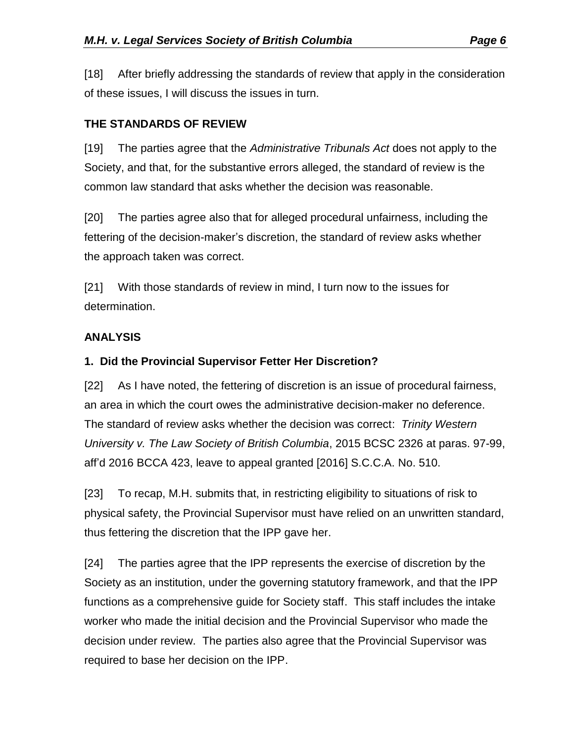[18] After briefly addressing the standards of review that apply in the consideration of these issues, I will discuss the issues in turn.

## **THE STANDARDS OF REVIEW**

[19] The parties agree that the *Administrative Tribunals Act* does not apply to the Society, and that, for the substantive errors alleged, the standard of review is the common law standard that asks whether the decision was reasonable.

[20] The parties agree also that for alleged procedural unfairness, including the fettering of the decision-maker's discretion, the standard of review asks whether the approach taken was correct.

[21] With those standards of review in mind, I turn now to the issues for determination.

## **ANALYSIS**

### **1. Did the Provincial Supervisor Fetter Her Discretion?**

[22] As I have noted, the fettering of discretion is an issue of procedural fairness, an area in which the court owes the administrative decision-maker no deference. The standard of review asks whether the decision was correct: *Trinity Western University v. The Law Society of British Columbia*, 2015 BCSC 2326 at paras. 97-99, aff'd 2016 BCCA 423, leave to appeal granted [2016] S.C.C.A. No. 510.

[23] To recap, M.H. submits that, in restricting eligibility to situations of risk to physical safety, the Provincial Supervisor must have relied on an unwritten standard, thus fettering the discretion that the IPP gave her.

[24] The parties agree that the IPP represents the exercise of discretion by the Society as an institution, under the governing statutory framework, and that the IPP functions as a comprehensive guide for Society staff. This staff includes the intake worker who made the initial decision and the Provincial Supervisor who made the decision under review. The parties also agree that the Provincial Supervisor was required to base her decision on the IPP.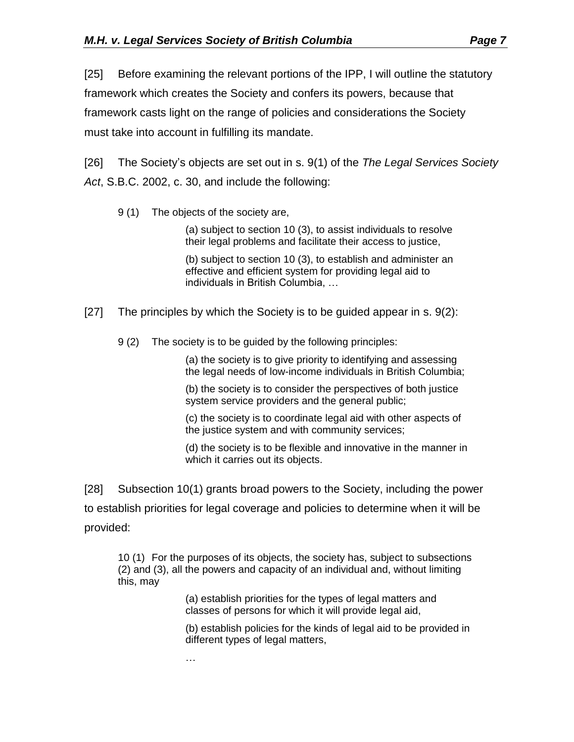[25] Before examining the relevant portions of the IPP, I will outline the statutory framework which creates the Society and confers its powers, because that framework casts light on the range of policies and considerations the Society must take into account in fulfilling its mandate.

[26] The Society's objects are set out in s. 9(1) of the *The Legal Services Society Act*, S.B.C. 2002, c. 30, and include the following:

9 (1) The objects of the society are,

(a) subject to section 10 (3), to assist individuals to resolve their legal problems and facilitate their access to justice,

(b) subject to section 10 (3), to establish and administer an effective and efficient system for providing legal aid to individuals in British Columbia, …

- [27] The principles by which the Society is to be guided appear in s. 9(2):
	- 9 (2) The society is to be guided by the following principles:

(a) the society is to give priority to identifying and assessing the legal needs of low-income individuals in British Columbia;

(b) the society is to consider the perspectives of both justice system service providers and the general public;

(c) the society is to coordinate legal aid with other aspects of the justice system and with community services;

(d) the society is to be flexible and innovative in the manner in which it carries out its objects.

[28] Subsection 10(1) grants broad powers to the Society, including the power to establish priorities for legal coverage and policies to determine when it will be provided:

10 (1) For the purposes of its objects, the society has, subject to subsections (2) and (3), all the powers and capacity of an individual and, without limiting this, may

> (a) establish priorities for the types of legal matters and classes of persons for which it will provide legal aid,

(b) establish policies for the kinds of legal aid to be provided in different types of legal matters,

…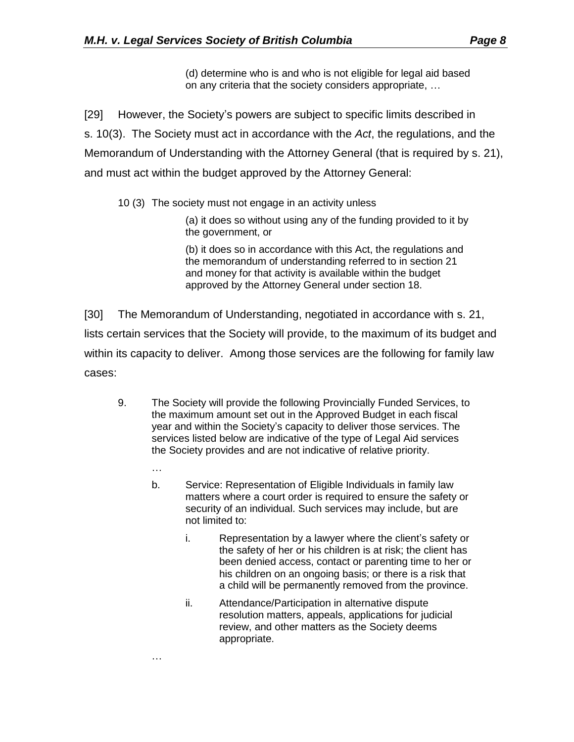(d) determine who is and who is not eligible for legal aid based on any criteria that the society considers appropriate, …

[29] However, the Society's powers are subject to specific limits described in s. 10(3). The Society must act in accordance with the *Act*, the regulations, and the Memorandum of Understanding with the Attorney General (that is required by s. 21), and must act within the budget approved by the Attorney General:

10 (3) The society must not engage in an activity unless

(a) it does so without using any of the funding provided to it by the government, or

(b) it does so in accordance with this Act, the regulations and the memorandum of understanding referred to in section 21 and money for that activity is available within the budget approved by the Attorney General under section 18.

[30] The Memorandum of Understanding, negotiated in accordance with s. 21, lists certain services that the Society will provide, to the maximum of its budget and within its capacity to deliver. Among those services are the following for family law cases:

- 9. The Society will provide the following Provincially Funded Services, to the maximum amount set out in the Approved Budget in each fiscal year and within the Society's capacity to deliver those services. The services listed below are indicative of the type of Legal Aid services the Society provides and are not indicative of relative priority.
	- … b. Service: Representation of Eligible Individuals in family law matters where a court order is required to ensure the safety or security of an individual. Such services may include, but are not limited to:
		- i. Representation by a lawyer where the client's safety or the safety of her or his children is at risk; the client has been denied access, contact or parenting time to her or his children on an ongoing basis; or there is a risk that a child will be permanently removed from the province.
		- ii. Attendance/Participation in alternative dispute resolution matters, appeals, applications for judicial review, and other matters as the Society deems appropriate.

…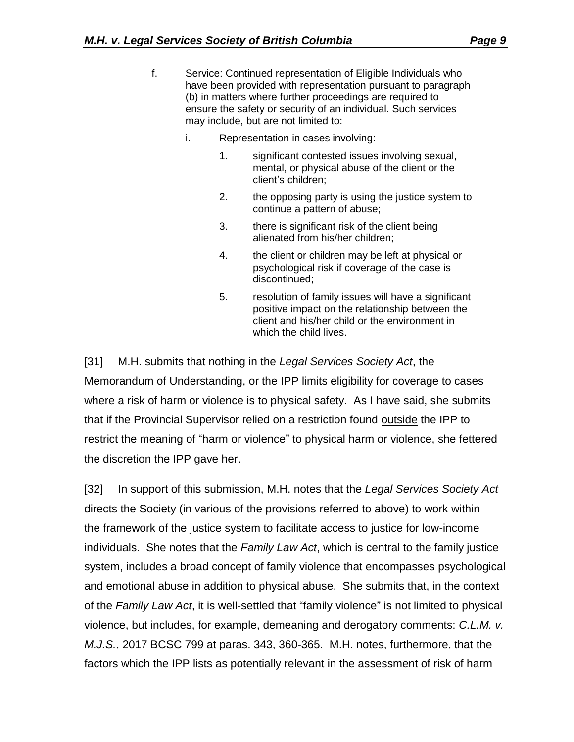- f. Service: Continued representation of Eligible Individuals who have been provided with representation pursuant to paragraph (b) in matters where further proceedings are required to ensure the safety or security of an individual. Such services may include, but are not limited to:
	- i. Representation in cases involving:
		- 1. significant contested issues involving sexual, mental, or physical abuse of the client or the client's children;
		- 2. the opposing party is using the justice system to continue a pattern of abuse;
		- 3. there is significant risk of the client being alienated from his/her children;
		- 4. the client or children may be left at physical or psychological risk if coverage of the case is discontinued;
		- 5. resolution of family issues will have a significant positive impact on the relationship between the client and his/her child or the environment in which the child lives.

[31] M.H. submits that nothing in the *Legal Services Society Act*, the Memorandum of Understanding, or the IPP limits eligibility for coverage to cases where a risk of harm or violence is to physical safety. As I have said, she submits that if the Provincial Supervisor relied on a restriction found outside the IPP to restrict the meaning of "harm or violence" to physical harm or violence, she fettered the discretion the IPP gave her.

[32] In support of this submission, M.H. notes that the *Legal Services Society Act* directs the Society (in various of the provisions referred to above) to work within the framework of the justice system to facilitate access to justice for low-income individuals. She notes that the *Family Law Act*, which is central to the family justice system, includes a broad concept of family violence that encompasses psychological and emotional abuse in addition to physical abuse. She submits that, in the context of the *Family Law Act*, it is well-settled that "family violence" is not limited to physical violence, but includes, for example, demeaning and derogatory comments: *C.L.M. v. M.J.S.*, 2017 BCSC 799 at paras. 343, 360-365. M.H. notes, furthermore, that the factors which the IPP lists as potentially relevant in the assessment of risk of harm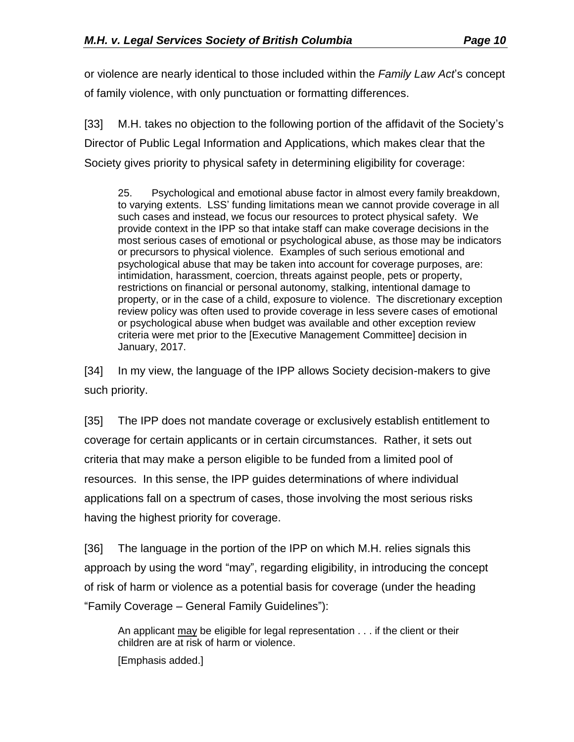or violence are nearly identical to those included within the *Family Law Act*'s concept of family violence, with only punctuation or formatting differences.

[33] M.H. takes no objection to the following portion of the affidavit of the Society's Director of Public Legal Information and Applications, which makes clear that the Society gives priority to physical safety in determining eligibility for coverage:

25. Psychological and emotional abuse factor in almost every family breakdown, to varying extents. LSS' funding limitations mean we cannot provide coverage in all such cases and instead, we focus our resources to protect physical safety. We provide context in the IPP so that intake staff can make coverage decisions in the most serious cases of emotional or psychological abuse, as those may be indicators or precursors to physical violence. Examples of such serious emotional and psychological abuse that may be taken into account for coverage purposes, are: intimidation, harassment, coercion, threats against people, pets or property, restrictions on financial or personal autonomy, stalking, intentional damage to property, or in the case of a child, exposure to violence. The discretionary exception review policy was often used to provide coverage in less severe cases of emotional or psychological abuse when budget was available and other exception review criteria were met prior to the [Executive Management Committee] decision in January, 2017.

[34] In my view, the language of the IPP allows Society decision-makers to give such priority.

[35] The IPP does not mandate coverage or exclusively establish entitlement to coverage for certain applicants or in certain circumstances. Rather, it sets out criteria that may make a person eligible to be funded from a limited pool of resources. In this sense, the IPP guides determinations of where individual applications fall on a spectrum of cases, those involving the most serious risks having the highest priority for coverage.

[36] The language in the portion of the IPP on which M.H. relies signals this approach by using the word "may", regarding eligibility, in introducing the concept of risk of harm or violence as a potential basis for coverage (under the heading "Family Coverage – General Family Guidelines"):

An applicant may be eligible for legal representation . . . if the client or their children are at risk of harm or violence.

[Emphasis added.]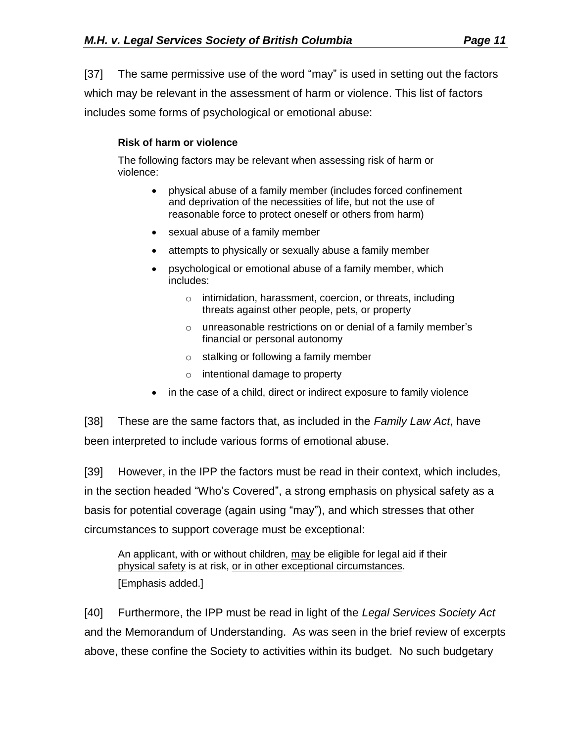[37] The same permissive use of the word "may" is used in setting out the factors which may be relevant in the assessment of harm or violence. This list of factors includes some forms of psychological or emotional abuse:

#### **Risk of harm or violence**

The following factors may be relevant when assessing risk of harm or violence:

- physical abuse of a family member (includes forced confinement and deprivation of the necessities of life, but not the use of reasonable force to protect oneself or others from harm)
- sexual abuse of a family member
- attempts to physically or sexually abuse a family member
- psychological or emotional abuse of a family member, which includes:
	- o intimidation, harassment, coercion, or threats, including threats against other people, pets, or property
	- o unreasonable restrictions on or denial of a family member's financial or personal autonomy
	- o stalking or following a family member
	- $\circ$  intentional damage to property
- in the case of a child, direct or indirect exposure to family violence

[38] These are the same factors that, as included in the *Family Law Act*, have been interpreted to include various forms of emotional abuse.

[39] However, in the IPP the factors must be read in their context, which includes, in the section headed "Who's Covered", a strong emphasis on physical safety as a basis for potential coverage (again using "may"), and which stresses that other circumstances to support coverage must be exceptional:

An applicant, with or without children, may be eligible for legal aid if their physical safety is at risk, or in other exceptional circumstances. [Emphasis added.]

[40] Furthermore, the IPP must be read in light of the *Legal Services Society Act* and the Memorandum of Understanding. As was seen in the brief review of excerpts above, these confine the Society to activities within its budget. No such budgetary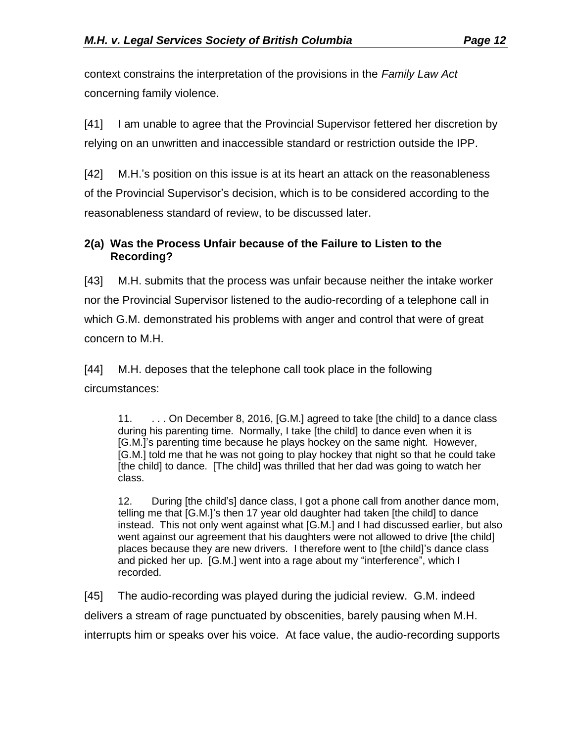context constrains the interpretation of the provisions in the *Family Law Act*  concerning family violence.

[41] I am unable to agree that the Provincial Supervisor fettered her discretion by relying on an unwritten and inaccessible standard or restriction outside the IPP.

[42] M.H.'s position on this issue is at its heart an attack on the reasonableness of the Provincial Supervisor's decision, which is to be considered according to the reasonableness standard of review, to be discussed later.

### **2(a) Was the Process Unfair because of the Failure to Listen to the Recording?**

[43] M.H. submits that the process was unfair because neither the intake worker nor the Provincial Supervisor listened to the audio-recording of a telephone call in which G.M. demonstrated his problems with anger and control that were of great concern to M.H.

[44] M.H. deposes that the telephone call took place in the following circumstances:

11. . . . On December 8, 2016, [G.M.] agreed to take [the child] to a dance class during his parenting time. Normally, I take [the child] to dance even when it is [G.M.]'s parenting time because he plays hockey on the same night. However, [G.M.] told me that he was not going to play hockey that night so that he could take [the child] to dance. [The child] was thrilled that her dad was going to watch her class.

12. During [the child's] dance class, I got a phone call from another dance mom, telling me that [G.M.]'s then 17 year old daughter had taken [the child] to dance instead. This not only went against what [G.M.] and I had discussed earlier, but also went against our agreement that his daughters were not allowed to drive [the child] places because they are new drivers. I therefore went to [the child]'s dance class and picked her up. [G.M.] went into a rage about my "interference", which I recorded.

[45] The audio-recording was played during the judicial review. G.M. indeed delivers a stream of rage punctuated by obscenities, barely pausing when M.H. interrupts him or speaks over his voice. At face value, the audio-recording supports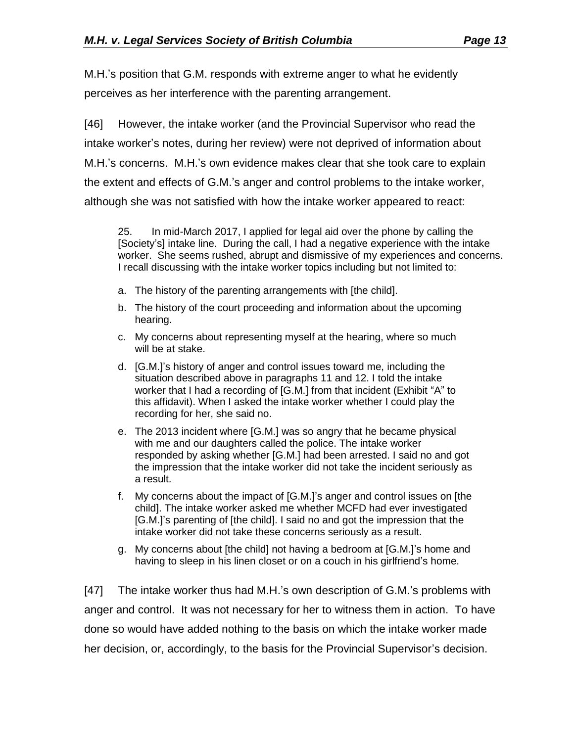M.H.'s position that G.M. responds with extreme anger to what he evidently perceives as her interference with the parenting arrangement.

[46] However, the intake worker (and the Provincial Supervisor who read the intake worker's notes, during her review) were not deprived of information about M.H.'s concerns. M.H.'s own evidence makes clear that she took care to explain the extent and effects of G.M.'s anger and control problems to the intake worker, although she was not satisfied with how the intake worker appeared to react:

25. In mid-March 2017, I applied for legal aid over the phone by calling the [Society's] intake line. During the call, I had a negative experience with the intake worker. She seems rushed, abrupt and dismissive of my experiences and concerns. I recall discussing with the intake worker topics including but not limited to:

- a. The history of the parenting arrangements with [the child].
- b. The history of the court proceeding and information about the upcoming hearing.
- c. My concerns about representing myself at the hearing, where so much will be at stake.
- d. [G.M.]'s history of anger and control issues toward me, including the situation described above in paragraphs 11 and 12. I told the intake worker that I had a recording of [G.M.] from that incident (Exhibit "A" to this affidavit). When I asked the intake worker whether I could play the recording for her, she said no.
- e. The 2013 incident where [G.M.] was so angry that he became physical with me and our daughters called the police. The intake worker responded by asking whether [G.M.] had been arrested. I said no and got the impression that the intake worker did not take the incident seriously as a result.
- f. My concerns about the impact of [G.M.]'s anger and control issues on [the child]. The intake worker asked me whether MCFD had ever investigated [G.M.]'s parenting of [the child]. I said no and got the impression that the intake worker did not take these concerns seriously as a result.
- g. My concerns about [the child] not having a bedroom at [G.M.]'s home and having to sleep in his linen closet or on a couch in his girlfriend's home.

[47] The intake worker thus had M.H.'s own description of G.M.'s problems with anger and control. It was not necessary for her to witness them in action. To have done so would have added nothing to the basis on which the intake worker made her decision, or, accordingly, to the basis for the Provincial Supervisor's decision.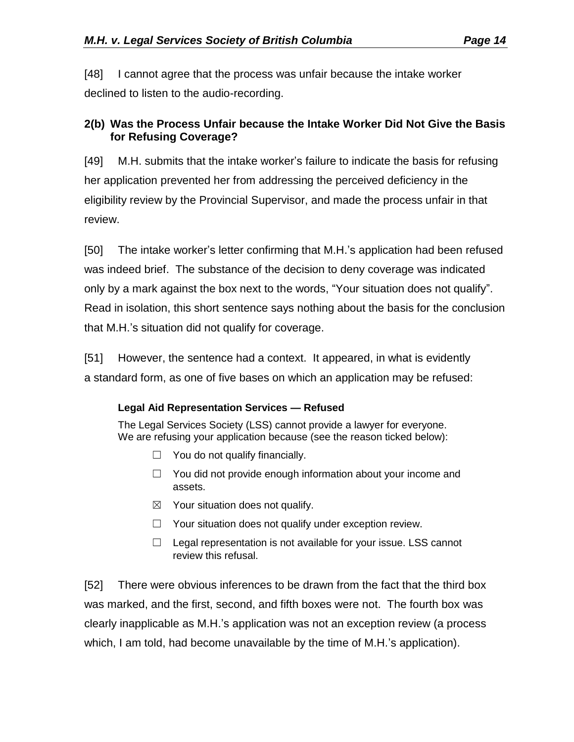[48] I cannot agree that the process was unfair because the intake worker declined to listen to the audio-recording.

## **2(b) Was the Process Unfair because the Intake Worker Did Not Give the Basis for Refusing Coverage?**

[49] M.H. submits that the intake worker's failure to indicate the basis for refusing her application prevented her from addressing the perceived deficiency in the eligibility review by the Provincial Supervisor, and made the process unfair in that review.

[50] The intake worker's letter confirming that M.H.'s application had been refused was indeed brief. The substance of the decision to deny coverage was indicated only by a mark against the box next to the words, "Your situation does not qualify". Read in isolation, this short sentence says nothing about the basis for the conclusion that M.H.'s situation did not qualify for coverage.

[51] However, the sentence had a context. It appeared, in what is evidently a standard form, as one of five bases on which an application may be refused:

## **Legal Aid Representation Services — Refused**

The Legal Services Society (LSS) cannot provide a lawyer for everyone. We are refusing your application because (see the reason ticked below):

- $\Box$  You do not qualify financially.
- □ You did not provide enough information about your income and assets.
- $\boxtimes$  Your situation does not qualify.
- ☐ Your situation does not qualify under exception review.
- $\Box$  Legal representation is not available for your issue. LSS cannot review this refusal.

[52] There were obvious inferences to be drawn from the fact that the third box was marked, and the first, second, and fifth boxes were not. The fourth box was clearly inapplicable as M.H.'s application was not an exception review (a process which, I am told, had become unavailable by the time of M.H.'s application).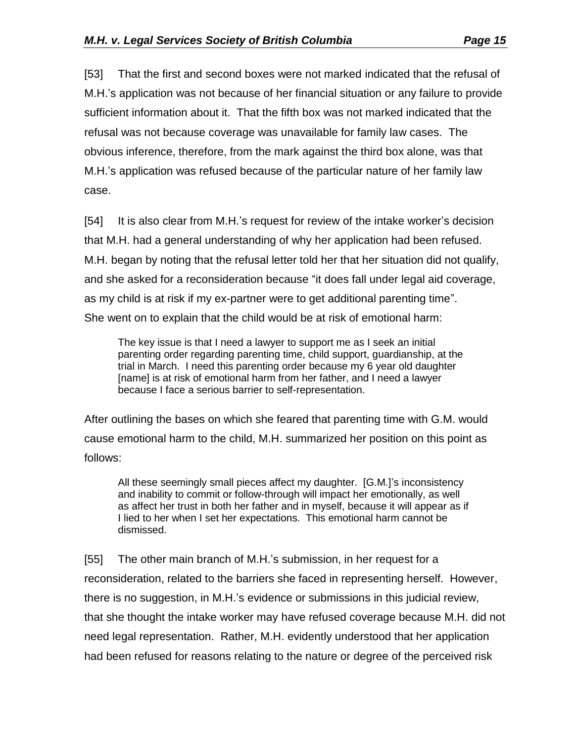[53] That the first and second boxes were not marked indicated that the refusal of M.H.'s application was not because of her financial situation or any failure to provide sufficient information about it. That the fifth box was not marked indicated that the refusal was not because coverage was unavailable for family law cases. The obvious inference, therefore, from the mark against the third box alone, was that M.H.'s application was refused because of the particular nature of her family law case.

[54] It is also clear from M.H.'s request for review of the intake worker's decision that M.H. had a general understanding of why her application had been refused. M.H. began by noting that the refusal letter told her that her situation did not qualify, and she asked for a reconsideration because "it does fall under legal aid coverage, as my child is at risk if my ex-partner were to get additional parenting time". She went on to explain that the child would be at risk of emotional harm:

The key issue is that I need a lawyer to support me as I seek an initial parenting order regarding parenting time, child support, guardianship, at the trial in March. I need this parenting order because my 6 year old daughter [name] is at risk of emotional harm from her father, and I need a lawyer because I face a serious barrier to self-representation.

After outlining the bases on which she feared that parenting time with G.M. would cause emotional harm to the child, M.H. summarized her position on this point as follows:

All these seemingly small pieces affect my daughter. [G.M.]'s inconsistency and inability to commit or follow-through will impact her emotionally, as well as affect her trust in both her father and in myself, because it will appear as if I lied to her when I set her expectations. This emotional harm cannot be dismissed.

[55] The other main branch of M.H.'s submission, in her request for a reconsideration, related to the barriers she faced in representing herself. However, there is no suggestion, in M.H.'s evidence or submissions in this judicial review, that she thought the intake worker may have refused coverage because M.H. did not need legal representation. Rather, M.H. evidently understood that her application had been refused for reasons relating to the nature or degree of the perceived risk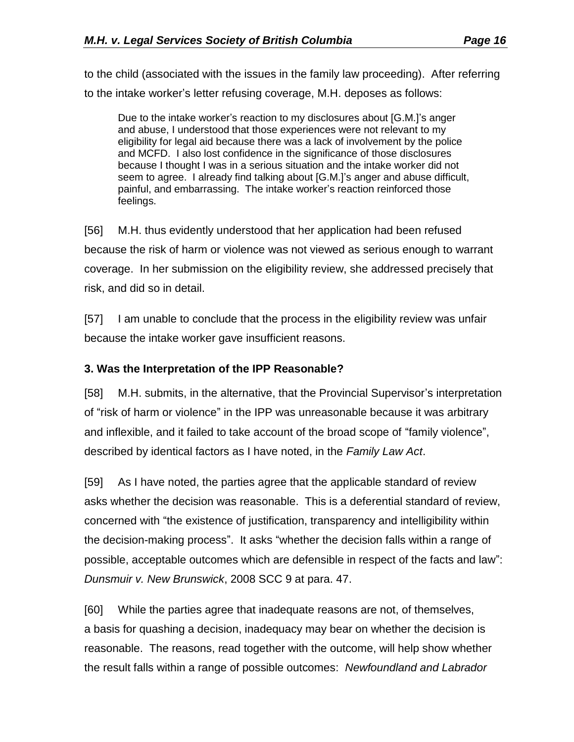to the child (associated with the issues in the family law proceeding). After referring to the intake worker's letter refusing coverage, M.H. deposes as follows:

Due to the intake worker's reaction to my disclosures about [G.M.]'s anger and abuse, I understood that those experiences were not relevant to my eligibility for legal aid because there was a lack of involvement by the police and MCFD. I also lost confidence in the significance of those disclosures because I thought I was in a serious situation and the intake worker did not seem to agree. I already find talking about [G.M.]'s anger and abuse difficult, painful, and embarrassing. The intake worker's reaction reinforced those feelings.

[56] M.H. thus evidently understood that her application had been refused because the risk of harm or violence was not viewed as serious enough to warrant coverage. In her submission on the eligibility review, she addressed precisely that risk, and did so in detail.

[57] I am unable to conclude that the process in the eligibility review was unfair because the intake worker gave insufficient reasons.

#### **3. Was the Interpretation of the IPP Reasonable?**

[58] M.H. submits, in the alternative, that the Provincial Supervisor's interpretation of "risk of harm or violence" in the IPP was unreasonable because it was arbitrary and inflexible, and it failed to take account of the broad scope of "family violence", described by identical factors as I have noted, in the *Family Law Act*.

[59] As I have noted, the parties agree that the applicable standard of review asks whether the decision was reasonable. This is a deferential standard of review, concerned with "the existence of justification, transparency and intelligibility within the decision-making process". It asks "whether the decision falls within a range of possible, acceptable outcomes which are defensible in respect of the facts and law": *Dunsmuir v. New Brunswick*, 2008 SCC 9 at para. 47.

[60] While the parties agree that inadequate reasons are not, of themselves, a basis for quashing a decision, inadequacy may bear on whether the decision is reasonable. The reasons, read together with the outcome, will help show whether the result falls within a range of possible outcomes: *Newfoundland and Labrador*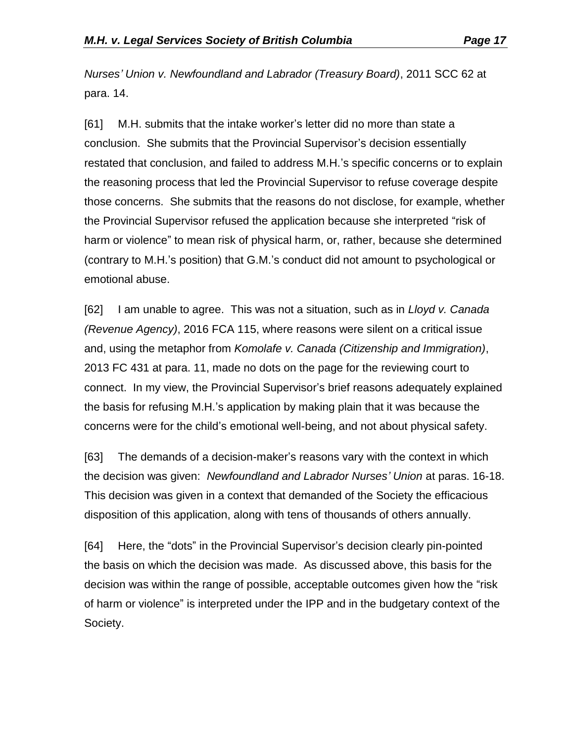*Nurses' Union v. Newfoundland and Labrador (Treasury Board)*, 2011 SCC 62 at para. 14.

[61] M.H. submits that the intake worker's letter did no more than state a conclusion. She submits that the Provincial Supervisor's decision essentially restated that conclusion, and failed to address M.H.'s specific concerns or to explain the reasoning process that led the Provincial Supervisor to refuse coverage despite those concerns. She submits that the reasons do not disclose, for example, whether the Provincial Supervisor refused the application because she interpreted "risk of harm or violence" to mean risk of physical harm, or, rather, because she determined (contrary to M.H.'s position) that G.M.'s conduct did not amount to psychological or emotional abuse.

[62] I am unable to agree. This was not a situation, such as in *Lloyd v. Canada (Revenue Agency)*, 2016 FCA 115, where reasons were silent on a critical issue and, using the metaphor from *Komolafe v. Canada (Citizenship and Immigration)*, 2013 FC 431 at para. 11, made no dots on the page for the reviewing court to connect. In my view, the Provincial Supervisor's brief reasons adequately explained the basis for refusing M.H.'s application by making plain that it was because the concerns were for the child's emotional well-being, and not about physical safety.

[63] The demands of a decision-maker's reasons vary with the context in which the decision was given: *Newfoundland and Labrador Nurses' Union* at paras. 16-18. This decision was given in a context that demanded of the Society the efficacious disposition of this application, along with tens of thousands of others annually.

[64] Here, the "dots" in the Provincial Supervisor's decision clearly pin-pointed the basis on which the decision was made. As discussed above, this basis for the decision was within the range of possible, acceptable outcomes given how the "risk of harm or violence" is interpreted under the IPP and in the budgetary context of the Society.